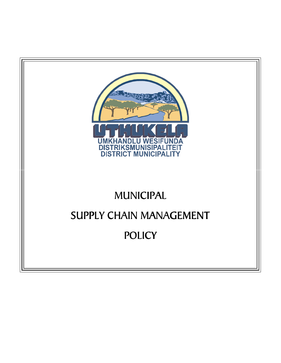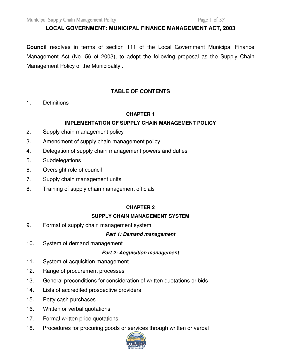#### **LOCAL GOVERNMENT: MUNICIPAL FINANCE MANAGEMENT ACT, 2003**

**Council** resolves in terms of section 111 of the Local Government Municipal Finance Management Act (No. 56 of 2003), to adopt the following proposal as the Supply Chain Management Policy of the Municipality **.**

## **TABLE OF CONTENTS**

1. Definitions

#### **CHAPTER 1**

### **IMPLEMENTATION OF SUPPLY CHAIN MANAGEMENT POLICY**

- 2. Supply chain management policy
- 3. Amendment of supply chain management policy
- 4. Delegation of supply chain management powers and duties
- 5. Subdelegations
- 6. Oversight role of council
- 7. Supply chain management units
- 8. Training of supply chain management officials

#### **CHAPTER 2**

#### **SUPPLY CHAIN MANAGEMENT SYSTEM**

9. Format of supply chain management system

#### **Part 1: Demand management**

10. System of demand management

#### **Part 2: Acquisition management**

- 11. System of acquisition management
- 12. Range of procurement processes
- 13. General preconditions for consideration of written quotations or bids
- 14. Lists of accredited prospective providers
- 15. Petty cash purchases
- 16. Written or verbal quotations
- 17. Formal written price quotations
- 18. Procedures for procuring goods or services through written or verbal

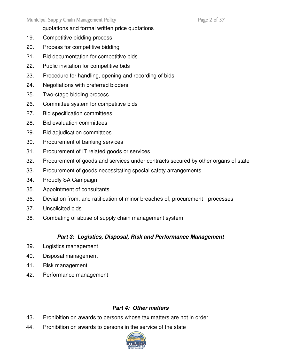quotations and formal written price quotations

- 19. Competitive bidding process
- 20. Process for competitive bidding
- 21. Bid documentation for competitive bids
- 22. Public invitation for competitive bids
- 23. Procedure for handling, opening and recording of bids
- 24. Negotiations with preferred bidders
- 25. Two-stage bidding process
- 26. Committee system for competitive bids
- 27. Bid specification committees
- 28. Bid evaluation committees
- 29. Bid adjudication committees
- 30. Procurement of banking services
- 31. Procurement of IT related goods or services
- 32. Procurement of goods and services under contracts secured by other organs of state
- 33. Procurement of goods necessitating special safety arrangements
- 34. Proudly SA Campaign
- 35. Appointment of consultants
- 36. Deviation from, and ratification of minor breaches of, procurement processes
- 37. Unsolicited bids
- 38. Combating of abuse of supply chain management system

# **Part 3: Logistics, Disposal, Risk and Performance Management**

- 39. Logistics management
- 40. Disposal management
- 41. Risk management
- 42. Performance management

# **Part 4: Other matters**

- 43. Prohibition on awards to persons whose tax matters are not in order
- 44. Prohibition on awards to persons in the service of the state

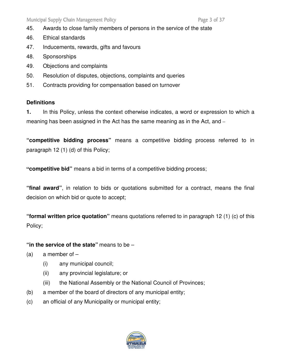- 45. Awards to close family members of persons in the service of the state
- 46. Ethical standards
- 47. Inducements, rewards, gifts and favours
- 48. Sponsorships
- 49. Objections and complaints
- 50. Resolution of disputes, objections, complaints and queries
- 51. Contracts providing for compensation based on turnover

# **Definitions**

**1.** In this Policy, unless the context otherwise indicates, a word or expression to which a meaning has been assigned in the Act has the same meaning as in the Act, and –

**"competitive bidding process"** means a competitive bidding process referred to in paragraph 12 (1) (d) of this Policy;

**"competitive bid"** means a bid in terms of a competitive bidding process;

**"final award"**, in relation to bids or quotations submitted for a contract, means the final decision on which bid or quote to accept;

**"formal written price quotation"** means quotations referred to in paragraph 12 (1) (c) of this Policy;

# **"in the service of the state"** means to be –

- (a) a member of  $-$ 
	- (i) any municipal council;
	- (ii) any provincial legislature; or
	- (iii) the National Assembly or the National Council of Provinces;
- (b) a member of the board of directors of any municipal entity;
- (c) an official of any Municipality or municipal entity;

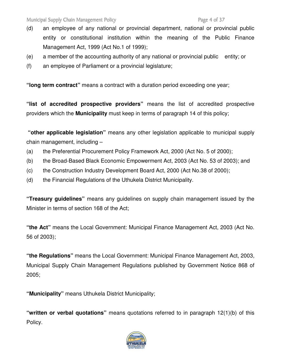- (d) an employee of any national or provincial department, national or provincial public entity or constitutional institution within the meaning of the Public Finance Management Act, 1999 (Act No.1 of 1999);
- (e) a member of the accounting authority of any national or provincial public entity; or
- (f) an employee of Parliament or a provincial legislature;

**"long term contract"** means a contract with a duration period exceeding one year;

**"list of accredited prospective providers"** means the list of accredited prospective providers which the **Municipality** must keep in terms of paragraph 14 of this policy;

 **"other applicable legislation"** means any other legislation applicable to municipal supply chain management, including –

- (a) the Preferential Procurement Policy Framework Act, 2000 (Act No. 5 of 2000);
- (b) the Broad-Based Black Economic Empowerment Act, 2003 (Act No. 53 of 2003); and
- (c) the Construction Industry Development Board Act, 2000 (Act No.38 of 2000);
- (d) the Financial Regulations of the Uthukela District Municipality.

**"Treasury guidelines"** means any guidelines on supply chain management issued by the Minister in terms of section 168 of the Act;

**"the Act"** means the Local Government: Municipal Finance Management Act, 2003 (Act No. 56 of 2003);

**"the Regulations"** means the Local Government: Municipal Finance Management Act, 2003, Municipal Supply Chain Management Regulations published by Government Notice 868 of 2005;

**"Municipality"** means Uthukela District Municipality;

**"written or verbal quotations"** means quotations referred to in paragraph 12(1)(b) of this Policy.

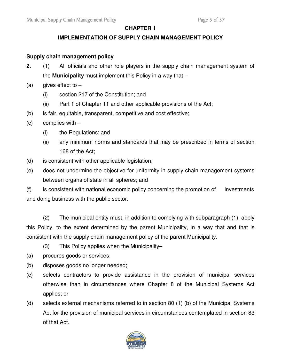## **CHAPTER 1**

## **IMPLEMENTATION OF SUPPLY CHAIN MANAGEMENT POLICY**

### **Supply chain management policy**

- **2.** (1) All officials and other role players in the supply chain management system of the **Municipality** must implement this Policy in a way that –
- (a) gives effect to  $-$ 
	- (i) section 217 of the Constitution; and
	- (ii) Part 1 of Chapter 11 and other applicable provisions of the Act;
- (b) is fair, equitable, transparent, competitive and cost effective;
- (c) complies with
	- (i) the Regulations; and
	- (ii) any minimum norms and standards that may be prescribed in terms of section 168 of the Act;
- (d) is consistent with other applicable legislation;
- (e) does not undermine the objective for uniformity in supply chain management systems between organs of state in all spheres; and

(f) is consistent with national economic policy concerning the promotion of investments and doing business with the public sector.

(2) The municipal entity must, in addition to complying with subparagraph (1), apply this Policy, to the extent determined by the parent Municipality, in a way that and that is consistent with the supply chain management policy of the parent Municipality.

(3) This Policy applies when the Municipality–

- (a) procures goods or services;
- (b) disposes goods no longer needed;
- (c) selects contractors to provide assistance in the provision of municipal services otherwise than in circumstances where Chapter 8 of the Municipal Systems Act applies; or
- (d) selects external mechanisms referred to in section 80 (1) (b) of the Municipal Systems Act for the provision of municipal services in circumstances contemplated in section 83 of that Act.

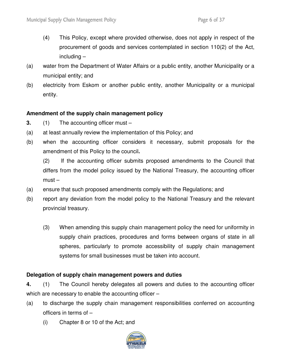- (4) This Policy, except where provided otherwise, does not apply in respect of the procurement of goods and services contemplated in section 110(2) of the Act, including –
- (a) water from the Department of Water Affairs or a public entity, another Municipality or a municipal entity; and
- (b) electricity from Eskom or another public entity, another Municipality or a municipal entity.

### **Amendment of the supply chain management policy**

- **3.** (1) The accounting officer must –
- (a) at least annually review the implementation of this Policy; and
- (b) when the accounting officer considers it necessary, submit proposals for the amendment of this Policy to the council**.**

 (2) If the accounting officer submits proposed amendments to the Council that differs from the model policy issued by the National Treasury, the accounting officer  $must -$ 

- (a) ensure that such proposed amendments comply with the Regulations; and
- (b) report any deviation from the model policy to the National Treasury and the relevant provincial treasury.
	- (3) When amending this supply chain management policy the need for uniformity in supply chain practices, procedures and forms between organs of state in all spheres, particularly to promote accessibility of supply chain management systems for small businesses must be taken into account.

### **Delegation of supply chain management powers and duties**

**4.** (1) The Council hereby delegates all powers and duties to the accounting officer which are necessary to enable the accounting officer –

- (a) to discharge the supply chain management responsibilities conferred on accounting officers in terms of –
	- (i) Chapter 8 or 10 of the Act; and

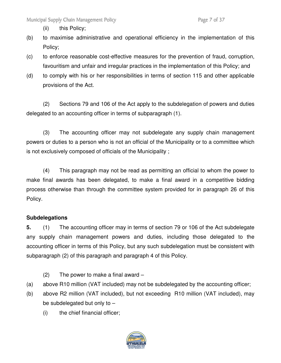(ii) this Policy;

- (b) to maximise administrative and operational efficiency in the implementation of this Policy;
- (c) to enforce reasonable cost-effective measures for the prevention of fraud, corruption, favouritism and unfair and irregular practices in the implementation of this Policy; and
- (d) to comply with his or her responsibilities in terms of section 115 and other applicable provisions of the Act.

 (2) Sections 79 and 106 of the Act apply to the subdelegation of powers and duties delegated to an accounting officer in terms of subparagraph (1).

 (3) The accounting officer may not subdelegate any supply chain management powers or duties to a person who is not an official of the Municipality or to a committee which is not exclusively composed of officials of the Municipality ;

 (4) This paragraph may not be read as permitting an official to whom the power to make final awards has been delegated, to make a final award in a competitive bidding process otherwise than through the committee system provided for in paragraph 26 of this Policy.

# **Subdelegations**

**5.** (1) The accounting officer may in terms of section 79 or 106 of the Act subdelegate any supply chain management powers and duties, including those delegated to the accounting officer in terms of this Policy, but any such subdelegation must be consistent with subparagraph (2) of this paragraph and paragraph 4 of this Policy.

- $(2)$  The power to make a final award  $-$
- (a) above R10 million (VAT included) may not be subdelegated by the accounting officer;
- (b) above R2 million (VAT included), but not exceeding R10 million (VAT included), may be subdelegated but only to  $-$ 
	- (i) the chief financial officer;

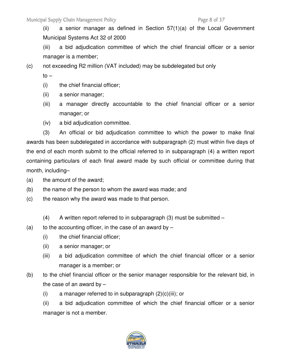(ii) a senior manager as defined in Section 57(1)(a) of the Local Government Municipal Systems Act 32 of 2000

 (iii) a bid adjudication committee of which the chief financial officer or a senior manager is a member;

(c) not exceeding R2 million (VAT included) may be subdelegated but only

to –

- (i) the chief financial officer;
- (ii) a senior manager;
- (iii) a manager directly accountable to the chief financial officer or a senior manager; or
- (iv) a bid adjudication committee.

 (3) An official or bid adjudication committee to which the power to make final awards has been subdelegated in accordance with subparagraph (2) must within five days of the end of each month submit to the official referred to in subparagraph (4) a written report containing particulars of each final award made by such official or committee during that month, including–

- (a) the amount of the award;
- (b) the name of the person to whom the award was made; and
- (c) the reason why the award was made to that person.
	- $(4)$  A written report referred to in subparagraph  $(3)$  must be submitted  $-$
- (a) to the accounting officer, in the case of an award by  $-$ 
	- (i) the chief financial officer;
	- (ii) a senior manager; or
	- (iii) a bid adjudication committee of which the chief financial officer or a senior manager is a member; or
- (b) to the chief financial officer or the senior manager responsible for the relevant bid, in the case of an award by  $-$ 
	- (i) a manager referred to in subparagraph  $(2)(c)(iii)$ ; or

 (ii) a bid adjudication committee of which the chief financial officer or a senior manager is not a member.

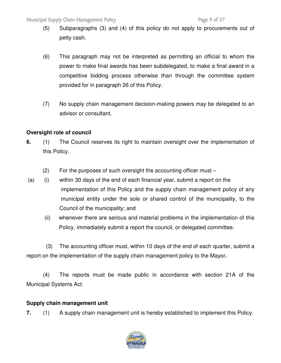- (5) Subparagraphs (3) and (4) of this policy do not apply to procurements out of petty cash.
- (6) This paragraph may not be interpreted as permitting an official to whom the power to make final awards has been subdelegated, to make a final award in a competitive bidding process otherwise than through the committee system provided for in paragraph 26 of this Policy.
- (7) No supply chain management decision-making powers may be delegated to an advisor or consultant.

# **Oversight role of council**

- **6.** (1) The Council reserves its right to maintain oversight over the implementation of this Policy.
	- (2) For the purposes of such oversight the accounting officer must –
- (a) (i) within 30 days of the end of each financial year, submit a report on the implementation of this Policy and the supply chain management policy of any municipal entity under the sole or shared control of the municipality, to the Council of the municipality; and
	- (ii) whenever there are serious and material problems in the implementation of this Policy, immediately submit a report the council, or delegated committee.

(3) The accounting officer must, within 10 days of the end of each quarter, submit a report on the implementation of the supply chain management policy to the Mayor**.**

 (4) The reports must be made public in accordance with section 21A of the Municipal Systems Act.

### **Supply chain management unit**

**7.** (1) A supply chain management unit is hereby established to implement this Policy.

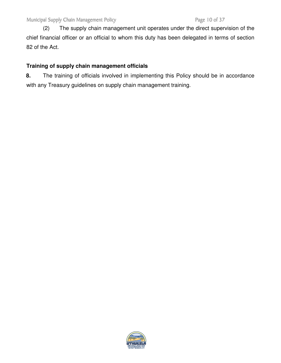(2) The supply chain management unit operates under the direct supervision of the chief financial officer or an official to whom this duty has been delegated in terms of section 82 of the Act.

# **Training of supply chain management officials**

**8.** The training of officials involved in implementing this Policy should be in accordance with any Treasury guidelines on supply chain management training.

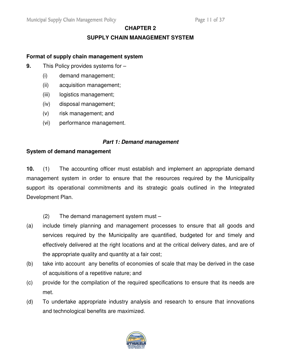# **CHAPTER 2**

## **SUPPLY CHAIN MANAGEMENT SYSTEM**

#### **Format of supply chain management system**

- **9.** This Policy provides systems for
	- (i) demand management;
	- (ii) acquisition management;
	- (iii) logistics management;
	- (iv) disposal management;
	- (v) risk management; and
	- (vi) performance management.

#### **Part 1: Demand management**

#### **System of demand management**

**10.** (1) The accounting officer must establish and implement an appropriate demand management system in order to ensure that the resources required by the Municipality support its operational commitments and its strategic goals outlined in the Integrated Development Plan.

- (2) The demand management system must –
- (a) include timely planning and management processes to ensure that all goods and services required by the Municipality are quantified, budgeted for and timely and effectively delivered at the right locations and at the critical delivery dates, and are of the appropriate quality and quantity at a fair cost;
- (b) take into account any benefits of economies of scale that may be derived in the case of acquisitions of a repetitive nature; and
- (c) provide for the compilation of the required specifications to ensure that its needs are met.
- (d) To undertake appropriate industry analysis and research to ensure that innovations and technological benefits are maximized.

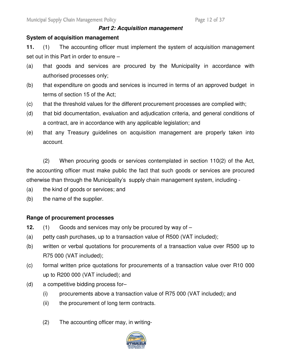#### **Part 2: Acquisition management**

### **System of acquisition management**

**11.** (1) The accounting officer must implement the system of acquisition management set out in this Part in order to ensure –

- (a) that goods and services are procured by the Municipality in accordance with authorised processes only;
- (b) that expenditure on goods and services is incurred in terms of an approved budget in terms of section 15 of the Act;
- (c) that the threshold values for the different procurement processes are complied with;
- (d) that bid documentation, evaluation and adjudication criteria, and general conditions of a contract, are in accordance with any applicable legislation; and
- (e) that any Treasury guidelines on acquisition management are properly taken into account.

 (2) When procuring goods or services contemplated in section 110(2) of the Act, the accounting officer must make public the fact that such goods or services are procured otherwise than through the Municipality's supply chain management system, including -

- (a) the kind of goods or services; and
- (b) the name of the supplier.

### **Range of procurement processes**

- **12.** (1) Goods and services may only be procured by way of –
- (a) petty cash purchases, up to a transaction value of R500 (VAT included);
- (b) written or verbal quotations for procurements of a transaction value over R500 up to R75 000 (VAT included);
- (c) formal written price quotations for procurements of a transaction value over R10 000 up to R200 000 (VAT included); and
- (d) a competitive bidding process for–
	- (i) procurements above a transaction value of R75 000 (VAT included); and
	- (ii) the procurement of long term contracts.
	- (2) The accounting officer may, in writing-

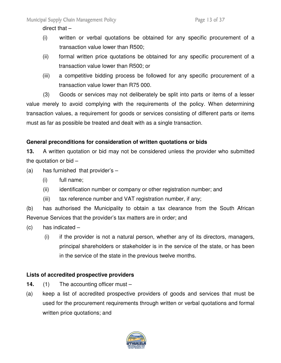direct that –

- (i) written or verbal quotations be obtained for any specific procurement of a transaction value lower than R500;
- (ii) formal written price quotations be obtained for any specific procurement of a transaction value lower than R500; or
- (iii) a competitive bidding process be followed for any specific procurement of a transaction value lower than R75 000.

 (3) Goods or services may not deliberately be split into parts or items of a lesser value merely to avoid complying with the requirements of the policy. When determining transaction values, a requirement for goods or services consisting of different parts or items must as far as possible be treated and dealt with as a single transaction.

# **General preconditions for consideration of written quotations or bids**

**13.** A written quotation or bid may not be considered unless the provider who submitted the quotation or bid –

- (a) has furnished that provider's  $-$ 
	- (i) full name;
	- (ii) identification number or company or other registration number; and
	- (iii) tax reference number and VAT registration number, if any;

(b) has authorised the Municipality to obtain a tax clearance from the South African Revenue Services that the provider's tax matters are in order; and

- $(c)$  has indicated  $-$ 
	- (i) if the provider is not a natural person, whether any of its directors, managers, principal shareholders or stakeholder is in the service of the state, or has been in the service of the state in the previous twelve months.

### **Lists of accredited prospective providers**

- **14.** (1) The accounting officer must –
- (a) keep a list of accredited prospective providers of goods and services that must be used for the procurement requirements through written or verbal quotations and formal written price quotations; and

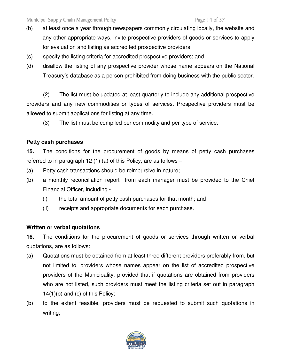- (b) at least once a year through newspapers commonly circulating locally, the website and any other appropriate ways, invite prospective providers of goods or services to apply for evaluation and listing as accredited prospective providers;
- (c) specify the listing criteria for accredited prospective providers; and
- (d) disallow the listing of any prospective provider whose name appears on the National Treasury's database as a person prohibited from doing business with the public sector.

(2) The list must be updated at least quarterly to include any additional prospective providers and any new commodities or types of services. Prospective providers must be allowed to submit applications for listing at any time.

(3) The list must be compiled per commodity and per type of service.

# **Petty cash purchases**

**15.** The conditions for the procurement of goods by means of petty cash purchases referred to in paragraph 12 (1) (a) of this Policy, are as follows –

- (a) Petty cash transactions should be reimbursive in nature;
- (b) a monthly reconciliation report from each manager must be provided to the Chief Financial Officer, including -
	- (i) the total amount of petty cash purchases for that month; and
	- (ii) receipts and appropriate documents for each purchase.

# **Written or verbal quotations**

**16.** The conditions for the procurement of goods or services through written or verbal quotations, are as follows:

- (a) Quotations must be obtained from at least three different providers preferably from, but not limited to, providers whose names appear on the list of accredited prospective providers of the Municipality, provided that if quotations are obtained from providers who are not listed, such providers must meet the listing criteria set out in paragraph 14(1)(b) and (c) of this Policy;
- (b) to the extent feasible, providers must be requested to submit such quotations in writing;

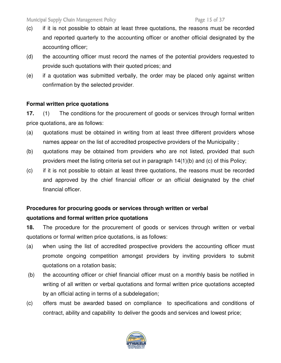- (c) if it is not possible to obtain at least three quotations, the reasons must be recorded and reported quarterly to the accounting officer or another official designated by the accounting officer;
- (d) the accounting officer must record the names of the potential providers requested to provide such quotations with their quoted prices; and
- (e) if a quotation was submitted verbally, the order may be placed only against written confirmation by the selected provider.

## **Formal written price quotations**

**17.** (1) The conditions for the procurement of goods or services through formal written price quotations, are as follows:

- (a) quotations must be obtained in writing from at least three different providers whose names appear on the list of accredited prospective providers of the Municipality ;
- (b) quotations may be obtained from providers who are not listed, provided that such providers meet the listing criteria set out in paragraph 14(1)(b) and (c) of this Policy;
- (c) if it is not possible to obtain at least three quotations, the reasons must be recorded and approved by the chief financial officer or an official designated by the chief financial officer.

# **Procedures for procuring goods or services through written or verbal quotations and formal written price quotations**

**18.** The procedure for the procurement of goods or services through written or verbal quotations or formal written price quotations, is as follows:

- (a) when using the list of accredited prospective providers the accounting officer must promote ongoing competition amongst providers by inviting providers to submit quotations on a rotation basis;
- (b) the accounting officer or chief financial officer must on a monthly basis be notified in writing of all written or verbal quotations and formal written price quotations accepted by an official acting in terms of a subdelegation;
- (c) offers must be awarded based on compliance to specifications and conditions of contract, ability and capability to deliver the goods and services and lowest price;

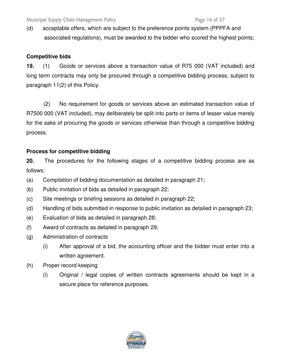(d) acceptable offers, which are subject to the preference points system (PPPFA and associated regulations), must be awarded to the bidder who scored the highest points;

# **Competitive bids**

**19.** (1) Goods or services above a transaction value of R75 000 (VAT included) and long term contracts may only be procured through a competitive bidding process, subject to paragraph 11(2) of this Policy.

(2) No requirement for goods or services above an estimated transaction value of R7500 000 (VAT included), may deliberately be split into parts or items of lesser value merely for the sake of procuring the goods or services otherwise than through a competitive bidding process.

## **Process for competitive bidding**

**20.** The procedures for the following stages of a competitive bidding process are as follows:

- (a) Compilation of bidding documentation as detailed in paragraph 21;
- (b) Public invitation of bids as detailed in paragraph 22;
- (c) Site meetings or briefing sessions as detailed in paragraph 22;
- (d) Handling of bids submitted in response to public invitation as detailed in paragraph 23;
- (e) Evaluation of bids as detailed in paragraph 28;
- (f) Award of contracts as detailed in paragraph 29;
- (g) Administration of contracts
	- (i) After approval of a bid, the accounting officer and the bidder must enter into a written agreement.
- (h) Proper record keeping
	- (i) Original / legal copies of written contracts agreements should be kept in a secure place for reference purposes.

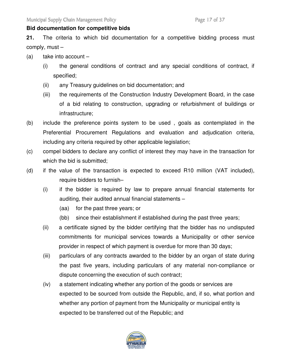#### **Bid documentation for competitive bids**

**21.** The criteria to which bid documentation for a competitive bidding process must comply, must –

- (a) take into account  $-$ 
	- (i) the general conditions of contract and any special conditions of contract, if specified;
	- (ii) any Treasury guidelines on bid documentation; and
	- (iii) the requirements of the Construction Industry Development Board, in the case of a bid relating to construction, upgrading or refurbishment of buildings or infrastructure;
- (b) include the preference points system to be used , goals as contemplated in the Preferential Procurement Regulations and evaluation and adjudication criteria, including any criteria required by other applicable legislation;
- (c) compel bidders to declare any conflict of interest they may have in the transaction for which the bid is submitted;
- (d) if the value of the transaction is expected to exceed R10 million (VAT included), require bidders to furnish–
	- (i) if the bidder is required by law to prepare annual financial statements for auditing, their audited annual financial statements –
		- (aa) for the past three years; or
		- (bb) since their establishment if established during the past three years;
	- (ii) a certificate signed by the bidder certifying that the bidder has no undisputed commitments for municipal services towards a Municipality or other service provider in respect of which payment is overdue for more than 30 days;
	- (iii) particulars of any contracts awarded to the bidder by an organ of state during the past five years, including particulars of any material non-compliance or dispute concerning the execution of such contract;
	- (iv) a statement indicating whether any portion of the goods or services are expected to be sourced from outside the Republic, and, if so, what portion and whether any portion of payment from the Municipality or municipal entity is expected to be transferred out of the Republic; and

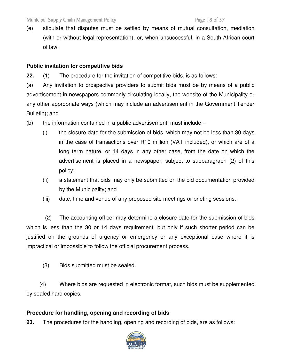(e) stipulate that disputes must be settled by means of mutual consultation, mediation (with or without legal representation), or, when unsuccessful, in a South African court of law.

## **Public invitation for competitive bids**

**22.** (1) The procedure for the invitation of competitive bids, is as follows:

(a) Any invitation to prospective providers to submit bids must be by means of a public advertisement in newspapers commonly circulating locally, the website of the Municipality or any other appropriate ways (which may include an advertisement in the Government Tender Bulletin); and

- $(b)$  the information contained in a public advertisement, must include
	- (i) the closure date for the submission of bids, which may not be less than 30 days in the case of transactions over R10 million (VAT included), or which are of a long term nature, or 14 days in any other case, from the date on which the advertisement is placed in a newspaper, subject to subparagraph (2) of this policy;
	- (ii) a statement that bids may only be submitted on the bid documentation provided by the Municipality; and
	- (iii) date, time and venue of any proposed site meetings or briefing sessions.;

 (2) The accounting officer may determine a closure date for the submission of bids which is less than the 30 or 14 days requirement, but only if such shorter period can be justified on the grounds of urgency or emergency or any exceptional case where it is impractical or impossible to follow the official procurement process.

(3) Bids submitted must be sealed.

(4) Where bids are requested in electronic format, such bids must be supplemented by sealed hard copies.

### **Procedure for handling, opening and recording of bids**

**23.** The procedures for the handling, opening and recording of bids, are as follows:

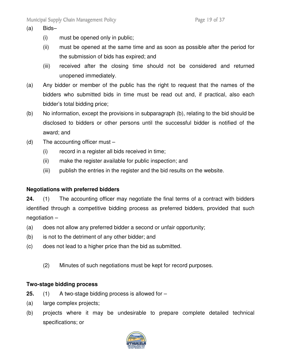#### (a) Bids–

- (i) must be opened only in public;
- (ii) must be opened at the same time and as soon as possible after the period for the submission of bids has expired; and
- (iii) received after the closing time should not be considered and returned unopened immediately.
- (a) Any bidder or member of the public has the right to request that the names of the bidders who submitted bids in time must be read out and, if practical, also each bidder's total bidding price;
- (b) No information, except the provisions in subparagraph (b), relating to the bid should be disclosed to bidders or other persons until the successful bidder is notified of the award; and
- (d) The accounting officer must
	- (i) record in a register all bids received in time;
	- (ii) make the register available for public inspection; and
	- (iii) publish the entries in the register and the bid results on the website.

# **Negotiations with preferred bidders**

**24.** (1) The accounting officer may negotiate the final terms of a contract with bidders identified through a competitive bidding process as preferred bidders, provided that such negotiation –

- (a) does not allow any preferred bidder a second or unfair opportunity;
- (b) is not to the detriment of any other bidder; and
- (c) does not lead to a higher price than the bid as submitted.
	- (2) Minutes of such negotiations must be kept for record purposes.

### **Two-stage bidding process**

- **25.** (1) A two-stage bidding process is allowed for –
- (a) large complex projects;
- (b) projects where it may be undesirable to prepare complete detailed technical specifications; or

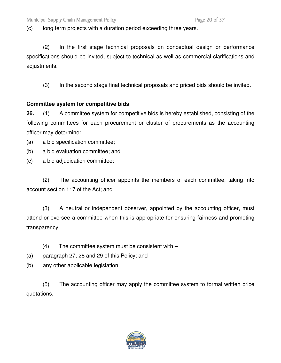(c) long term projects with a duration period exceeding three years.

 (2) In the first stage technical proposals on conceptual design or performance specifications should be invited, subject to technical as well as commercial clarifications and adjustments.

(3) In the second stage final technical proposals and priced bids should be invited.

## **Committee system for competitive bids**

**26.** (1) A committee system for competitive bids is hereby established, consisting of the following committees for each procurement or cluster of procurements as the accounting officer may determine:

(a) a bid specification committee;

(b) a bid evaluation committee; and

(c) a bid adjudication committee;

(2) The accounting officer appoints the members of each committee, taking into account section 117 of the Act; and

(3) A neutral or independent observer, appointed by the accounting officer, must attend or oversee a committee when this is appropriate for ensuring fairness and promoting transparency.

- (4) The committee system must be consistent with –
- (a) paragraph 27, 28 and 29 of this Policy; and
- (b) any other applicable legislation.

(5) The accounting officer may apply the committee system to formal written price quotations.

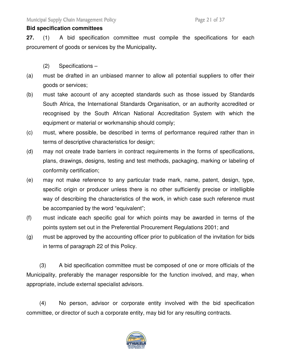### **Bid specification committees**

**27.** (1) A bid specification committee must compile the specifications for each procurement of goods or services by the Municipality**.**

- (2) Specifications –
- (a) must be drafted in an unbiased manner to allow all potential suppliers to offer their goods or services;
- (b) must take account of any accepted standards such as those issued by Standards South Africa, the International Standards Organisation, or an authority accredited or recognised by the South African National Accreditation System with which the equipment or material or workmanship should comply;
- (c) must, where possible, be described in terms of performance required rather than in terms of descriptive characteristics for design;
- (d) may not create trade barriers in contract requirements in the forms of specifications, plans, drawings, designs, testing and test methods, packaging, marking or labeling of conformity certification;
- (e) may not make reference to any particular trade mark, name, patent, design, type, specific origin or producer unless there is no other sufficiently precise or intelligible way of describing the characteristics of the work, in which case such reference must be accompanied by the word "equivalent";
- (f) must indicate each specific goal for which points may be awarded in terms of the points system set out in the Preferential Procurement Regulations 2001; and
- (g) must be approved by the accounting officer prior to publication of the invitation for bids in terms of paragraph 22 of this Policy.

(3) A bid specification committee must be composed of one or more officials of the Municipality, preferably the manager responsible for the function involved, and may, when appropriate, include external specialist advisors.

(4) No person, advisor or corporate entity involved with the bid specification committee, or director of such a corporate entity, may bid for any resulting contracts.

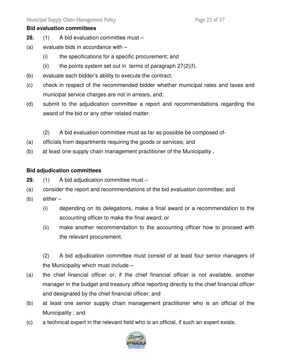### **Bid evaluation committees**

- **28.** (1) A bid evaluation committee must –
- (a) evaluate bids in accordance with
	- (i) the specifications for a specific procurement; and
	- (ii) the points system set out in terms of paragraph  $27(2)(f)$ .
- (b) evaluate each bidder's ability to execute the contract;
- (c) check in respect of the recommended bidder whether municipal rates and taxes and municipal service charges are not in arrears, and;
- (d) submit to the adjudication committee a report and recommendations regarding the award of the bid or any other related matter.
	- (2) A bid evaluation committee must as far as possible be composed of-
- (a) officials from departments requiring the goods or services; and
- (b) at least one supply chain management practitioner of the Municipality **.**

## **Bid adjudication committees**

- **29.** (1) A bid adjudication committee must –
- (a) consider the report and recommendations of the bid evaluation committee; and
- (b) either
	- (i) depending on its delegations, make a final award or a recommendation to the accounting officer to make the final award; or
	- (ii) make another recommendation to the accounting officer how to proceed with the relevant procurement.

(2) A bid adjudication committee must consist of at least four senior managers of the Municipality which must include –

- (a) the chief financial officer or, if the chief financial officer is not available, another manager in the budget and treasury office reporting directly to the chief financial officer and designated by the chief financial officer; and
- (b) at least one senior supply chain management practitioner who is an official of the Municipality ; and
- (c) a technical expert in the relevant field who is an official, if such an expert exists.

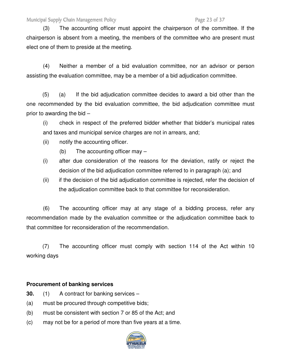#### Municipal Supply Chain Management Policy **Page 23 of 37** Page 23 of 37

 (3) The accounting officer must appoint the chairperson of the committee. If the chairperson is absent from a meeting, the members of the committee who are present must elect one of them to preside at the meeting.

 (4) Neither a member of a bid evaluation committee, nor an advisor or person assisting the evaluation committee, may be a member of a bid adjudication committee.

(5) (a) If the bid adjudication committee decides to award a bid other than the one recommended by the bid evaluation committee, the bid adjudication committee must prior to awarding the bid –

(i) check in respect of the preferred bidder whether that bidder's municipal rates and taxes and municipal service charges are not in arrears, and;

- (ii) notify the accounting officer.
	- (b) The accounting officer may –
- (i) after due consideration of the reasons for the deviation, ratify or reject the decision of the bid adjudication committee referred to in paragraph (a); and
- (ii) if the decision of the bid adjudication committee is rejected, refer the decision of the adjudication committee back to that committee for reconsideration.

 (6) The accounting officer may at any stage of a bidding process, refer any recommendation made by the evaluation committee or the adjudication committee back to that committee for reconsideration of the recommendation.

(7) The accounting officer must comply with section 114 of the Act within 10 working days

#### **Procurement of banking services**

- **30.** (1) A contract for banking services –
- (a) must be procured through competitive bids;
- (b) must be consistent with section 7 or 85 of the Act; and
- (c) may not be for a period of more than five years at a time.

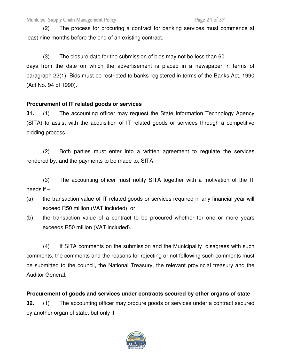Municipal Supply Chain Management Policy **Page 24 of 37** Page 24 of 37

(2) The process for procuring a contract for banking services must commence at least nine months before the end of an existing contract.

 (3) The closure date for the submission of bids may not be less than 60 days from the date on which the advertisement is placed in a newspaper in terms of paragraph 22(1). Bids must be restricted to banks registered in terms of the Banks Act, 1990 (Act No. 94 of 1990).

# **Procurement of IT related goods or services**

**31.** (1) The accounting officer may request the State Information Technology Agency (SITA) to assist with the acquisition of IT related goods or services through a competitive bidding process.

 (2) Both parties must enter into a written agreement to regulate the services rendered by, and the payments to be made to, SITA.

 (3) The accounting officer must notify SITA together with a motivation of the IT needs if –

- (a) the transaction value of IT related goods or services required in any financial year will exceed R50 million (VAT included); or
- (b) the transaction value of a contract to be procured whether for one or more years exceeds R50 million (VAT included).

 (4) If SITA comments on the submission and the Municipality disagrees with such comments, the comments and the reasons for rejecting or not following such comments must be submitted to the council, the National Treasury, the relevant provincial treasury and the Auditor General.

# **Procurement of goods and services under contracts secured by other organs of state**

**32.** (1) The accounting officer may procure goods or services under a contract secured by another organ of state, but only if –

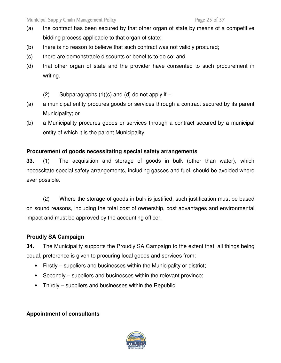- (a) the contract has been secured by that other organ of state by means of a competitive bidding process applicable to that organ of state;
- (b) there is no reason to believe that such contract was not validly procured;
- (c) there are demonstrable discounts or benefits to do so; and
- (d) that other organ of state and the provider have consented to such procurement in writing.
	- $(2)$  Subparagraphs  $(1)(c)$  and  $(d)$  do not apply if  $-$
- (a) a municipal entity procures goods or services through a contract secured by its parent Municipality; or
- (b) a Municipality procures goods or services through a contract secured by a municipal entity of which it is the parent Municipality.

# **Procurement of goods necessitating special safety arrangements**

**33.** (1) The acquisition and storage of goods in bulk (other than water), which necessitate special safety arrangements, including gasses and fuel, should be avoided where ever possible.

(2) Where the storage of goods in bulk is justified, such justification must be based on sound reasons, including the total cost of ownership, cost advantages and environmental impact and must be approved by the accounting officer.

# **Proudly SA Campaign**

**34.** The Municipality supports the Proudly SA Campaign to the extent that, all things being equal, preference is given to procuring local goods and services from:

- Firstly suppliers and businesses within the Municipality or district;
- Secondly suppliers and businesses within the relevant province;
- Thirdly suppliers and businesses within the Republic.

# **Appointment of consultants**

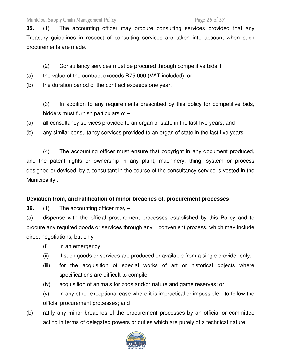Municipal Supply Chain Management Policy **Page 26 of 37** Page 26 of 37

**35.** (1) The accounting officer may procure consulting services provided that any Treasury guidelines in respect of consulting services are taken into account when such procurements are made.

- (2) Consultancy services must be procured through competitive bids if
- (a) the value of the contract exceeds R75 000 (VAT included); or
- (b) the duration period of the contract exceeds one year.

 (3) In addition to any requirements prescribed by this policy for competitive bids, bidders must furnish particulars of –

- (a) all consultancy services provided to an organ of state in the last five years; and
- (b) any similar consultancy services provided to an organ of state in the last five years.

 (4) The accounting officer must ensure that copyright in any document produced, and the patent rights or ownership in any plant, machinery, thing, system or process designed or devised, by a consultant in the course of the consultancy service is vested in the Municipality **.**

# **Deviation from, and ratification of minor breaches of, procurement processes**

**36.** (1) The accounting officer may –

(a) dispense with the official procurement processes established by this Policy and to procure any required goods or services through any convenient process, which may include direct negotiations, but only –

- (i) in an emergency;
- (ii) if such goods or services are produced or available from a single provider only;
- (iii) for the acquisition of special works of art or historical objects where specifications are difficult to compile;
- (iv) acquisition of animals for zoos and/or nature and game reserves; or
- (v) in any other exceptional case where it is impractical or impossible to follow the official procurement processes; and
- (b) ratify any minor breaches of the procurement processes by an official or committee acting in terms of delegated powers or duties which are purely of a technical nature.

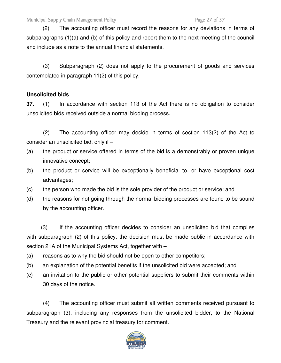(2) The accounting officer must record the reasons for any deviations in terms of subparagraphs (1)(a) and (b) of this policy and report them to the next meeting of the council and include as a note to the annual financial statements.

 (3) Subparagraph (2) does not apply to the procurement of goods and services contemplated in paragraph 11(2) of this policy.

# **Unsolicited bids**

**37.** (1) In accordance with section 113 of the Act there is no obligation to consider unsolicited bids received outside a normal bidding process.

(2) The accounting officer may decide in terms of section 113(2) of the Act to consider an unsolicited bid, only if –

- (a) the product or service offered in terms of the bid is a demonstrably or proven unique innovative concept;
- (b) the product or service will be exceptionally beneficial to, or have exceptional cost advantages;
- (c) the person who made the bid is the sole provider of the product or service; and
- (d) the reasons for not going through the normal bidding processes are found to be sound by the accounting officer.

 (3) If the accounting officer decides to consider an unsolicited bid that complies with subparagraph (2) of this policy, the decision must be made public in accordance with section 21A of the Municipal Systems Act, together with –

- (a) reasons as to why the bid should not be open to other competitors;
- (b) an explanation of the potential benefits if the unsolicited bid were accepted; and
- (c) an invitation to the public or other potential suppliers to submit their comments within 30 days of the notice.

 (4) The accounting officer must submit all written comments received pursuant to subparagraph (3), including any responses from the unsolicited bidder, to the National Treasury and the relevant provincial treasury for comment.

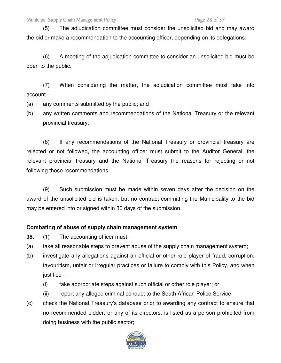(5) The adjudication committee must consider the unsolicited bid and may award the bid or make a recommendation to the accounting officer, depending on its delegations.

 (6) A meeting of the adjudication committee to consider an unsolicited bid must be open to the public.

 (7) When considering the matter, the adjudication committee must take into account –

- (a) any comments submitted by the public; and
- (b) any written comments and recommendations of the National Treasury or the relevant provincial treasury.

 (8) If any recommendations of the National Treasury or provincial treasury are rejected or not followed, the accounting officer must submit to the Auditor General, the relevant provincial treasury and the National Treasury the reasons for rejecting or not following those recommendations.

 (9) Such submission must be made within seven days after the decision on the award of the unsolicited bid is taken, but no contract committing the Municipality to the bid may be entered into or signed within 30 days of the submission.

### **Combating of abuse of supply chain management system**

- **38.** (1) The accounting officer must-
- (a) take all reasonable steps to prevent abuse of the supply chain management system;
- (b) investigate any allegations against an official or other role player of fraud, corruption, favouritism, unfair or irregular practices or failure to comply with this Policy, and when justified –
	- (i) take appropriate steps against such official or other role player; or
	- (ii) report any alleged criminal conduct to the South African Police Service;
- (c) check the National Treasury's database prior to awarding any contract to ensure that no recommended bidder, or any of its directors, is listed as a person prohibited from doing business with the public sector;

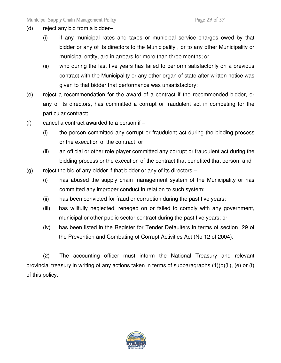- (d) reject any bid from a bidder–
	- (i) if any municipal rates and taxes or municipal service charges owed by that bidder or any of its directors to the Municipality , or to any other Municipality or municipal entity, are in arrears for more than three months; or
	- (ii) who during the last five years has failed to perform satisfactorily on a previous contract with the Municipality or any other organ of state after written notice was given to that bidder that performance was unsatisfactory;
- (e) reject a recommendation for the award of a contract if the recommended bidder, or any of its directors, has committed a corrupt or fraudulent act in competing for the particular contract;
- (f) cancel a contract awarded to a person if
	- (i) the person committed any corrupt or fraudulent act during the bidding process or the execution of the contract; or
	- (ii) an official or other role player committed any corrupt or fraudulent act during the bidding process or the execution of the contract that benefited that person; and
- (g) reject the bid of any bidder if that bidder or any of its directors  $-$ 
	- (i) has abused the supply chain management system of the Municipality or has committed any improper conduct in relation to such system;
	- (ii) has been convicted for fraud or corruption during the past five years;
	- (iii) has willfully neglected, reneged on or failed to comply with any government, municipal or other public sector contract during the past five years; or
	- (iv) has been listed in the Register for Tender Defaulters in terms of section 29 of the Prevention and Combating of Corrupt Activities Act (No 12 of 2004).

(2) The accounting officer must inform the National Treasury and relevant provincial treasury in writing of any actions taken in terms of subparagraphs (1)(b)(ii), (e) or (f) of this policy.

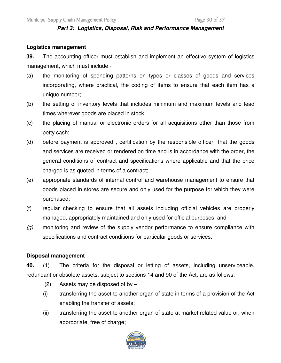#### **Part 3: Logistics, Disposal, Risk and Performance Management**

#### **Logistics management**

**39.** The accounting officer must establish and implement an effective system of logistics management, which must include -

- (a) the monitoring of spending patterns on types or classes of goods and services incorporating, where practical, the coding of items to ensure that each item has a unique number;
- (b) the setting of inventory levels that includes minimum and maximum levels and lead times wherever goods are placed in stock;
- (c) the placing of manual or electronic orders for all acquisitions other than those from petty cash;
- (d) before payment is approved , certification by the responsible officer that the goods and services are received or rendered on time and is in accordance with the order, the general conditions of contract and specifications where applicable and that the price charged is as quoted in terms of a contract;
- (e) appropriate standards of internal control and warehouse management to ensure that goods placed in stores are secure and only used for the purpose for which they were purchased;
- (f) regular checking to ensure that all assets including official vehicles are properly managed, appropriately maintained and only used for official purposes; and
- $(q)$  monitoring and review of the supply vendor performance to ensure compliance with specifications and contract conditions for particular goods or services.

#### **Disposal management**

**40.** (1) The criteria for the disposal or letting of assets, including unserviceable, redundant or obsolete assets, subject to sections 14 and 90 of the Act, are as follows:

- (2) Assets may be disposed of by  $-$
- (i) transferring the asset to another organ of state in terms of a provision of the Act enabling the transfer of assets;
- (ii) transferring the asset to another organ of state at market related value or, when appropriate, free of charge;

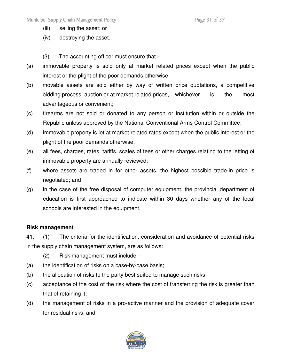- (iii) selling the asset; or
- (iv) destroying the asset.
- (3) The accounting officer must ensure that –
- (a) immovable property is sold only at market related prices except when the public interest or the plight of the poor demands otherwise;
- (b) movable assets are sold either by way of written price quotations, a competitive bidding process, auction or at market related prices, whichever is the most advantageous or convenient;
- (c) firearms are not sold or donated to any person or institution within or outside the Republic unless approved by the National Conventional Arms Control Committee;
- (d) immovable property is let at market related rates except when the public interest or the plight of the poor demands otherwise;
- (e) all fees, charges, rates, tariffs, scales of fees or other charges relating to the letting of immovable property are annually reviewed;
- (f) where assets are traded in for other assets, the highest possible trade-in price is negotiated; and
- (g) in the case of the free disposal of computer equipment, the provincial department of education is first approached to indicate within 30 days whether any of the local schools are interested in the equipment.

### **Risk management**

**41.** (1) The criteria for the identification, consideration and avoidance of potential risks in the supply chain management system, are as follows:

- (2) Risk management must include –
- (a) the identification of risks on a case-by-case basis;
- (b) the allocation of risks to the party best suited to manage such risks;
- (c) acceptance of the cost of the risk where the cost of transferring the risk is greater than that of retaining it;
- (d) the management of risks in a pro-active manner and the provision of adequate cover for residual risks; and

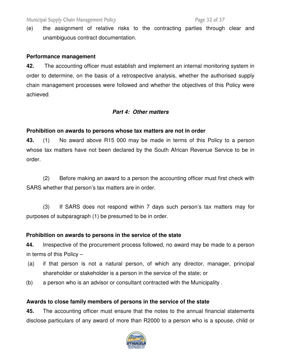(e) the assignment of relative risks to the contracting parties through clear and unambiguous contract documentation.

#### **Performance management**

**42.** The accounting officer must establish and implement an internal monitoring system in order to determine, on the basis of a retrospective analysis, whether the authorised supply chain management processes were followed and whether the objectives of this Policy were achieved.

#### **Part 4: Other matters**

### **Prohibition on awards to persons whose tax matters are not in order**

**43.** (1) No award above R15 000 may be made in terms of this Policy to a person whose tax matters have not been declared by the South African Revenue Service to be in order.

 (2) Before making an award to a person the accounting officer must first check with SARS whether that person's tax matters are in order.

 (3) If SARS does not respond within 7 days such person's tax matters may for purposes of subparagraph (1) be presumed to be in order.

### **Prohibition on awards to persons in the service of the state**

**44.** Irrespective of the procurement process followed, no award may be made to a person in terms of this Policy –

- (a) if that person is not a natural person, of which any director, manager, principal shareholder or stakeholder is a person in the service of the state; or
- (b) a person who is an advisor or consultant contracted with the Municipality .

### **Awards to close family members of persons in the service of the state**

**45.** The accounting officer must ensure that the notes to the annual financial statements disclose particulars of any award of more than R2000 to a person who is a spouse, child or

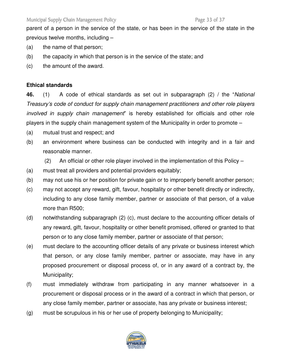parent of a person in the service of the state, or has been in the service of the state in the previous twelve months, including –

- (a) the name of that person;
- (b) the capacity in which that person is in the service of the state; and
- (c) the amount of the award.

## **Ethical standards**

**46.** (1) A code of ethical standards as set out in subparagraph (2) / the "National Treasury's code of conduct for supply chain management practitioners and other role players involved in supply chain management" is hereby established for officials and other role players in the supply chain management system of the Municipality in order to promote –

- (a) mutual trust and respect; and
- (b) an environment where business can be conducted with integrity and in a fair and reasonable manner.
	- $(2)$  An official or other role player involved in the implementation of this Policy –
- (a) must treat all providers and potential providers equitably;
- (b) may not use his or her position for private gain or to improperly benefit another person;
- (c) may not accept any reward, gift, favour, hospitality or other benefit directly or indirectly, including to any close family member, partner or associate of that person, of a value more than R500;
- (d) notwithstanding subparagraph (2) (c), must declare to the accounting officer details of any reward, gift, favour, hospitality or other benefit promised, offered or granted to that person or to any close family member, partner or associate of that person;
- (e) must declare to the accounting officer details of any private or business interest which that person, or any close family member, partner or associate, may have in any proposed procurement or disposal process of, or in any award of a contract by, the Municipality;
- (f) must immediately withdraw from participating in any manner whatsoever in a procurement or disposal process or in the award of a contract in which that person, or any close family member, partner or associate, has any private or business interest;
- (g) must be scrupulous in his or her use of property belonging to Municipality;

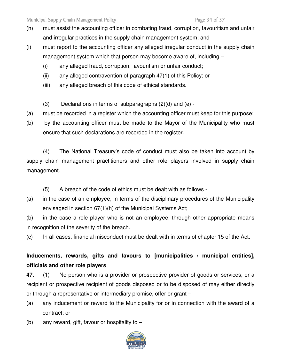- (h) must assist the accounting officer in combating fraud, corruption, favouritism and unfair and irregular practices in the supply chain management system; and
- (i) must report to the accounting officer any alleged irregular conduct in the supply chain management system which that person may become aware of, including –
	- (i) any alleged fraud, corruption, favouritism or unfair conduct;
	- (ii) any alleged contravention of paragraph 47(1) of this Policy; or
	- (iii) any alleged breach of this code of ethical standards.
	- (3) Declarations in terms of subparagraphs (2)(d) and (e) -
- (a) must be recorded in a register which the accounting officer must keep for this purpose;
- (b) by the accounting officer must be made to the Mayor of the Municipality who must ensure that such declarations are recorded in the register.

 (4) The National Treasury's code of conduct must also be taken into account by supply chain management practitioners and other role players involved in supply chain management.

- (5) A breach of the code of ethics must be dealt with as follows -
- (a) in the case of an employee, in terms of the disciplinary procedures of the Municipality envisaged in section 67(1)(h) of the Municipal Systems Act;

(b) in the case a role player who is not an employee, through other appropriate means in recognition of the severity of the breach.

(c) In all cases, financial misconduct must be dealt with in terms of chapter 15 of the Act.

**Inducements, rewards, gifts and favours to [municipalities / municipal entities], officials and other role players** 

**47.** (1) No person who is a provider or prospective provider of goods or services, or a recipient or prospective recipient of goods disposed or to be disposed of may either directly or through a representative or intermediary promise, offer or grant –

- (a) any inducement or reward to the Municipality for or in connection with the award of a contract; or
- (b) any reward, gift, favour or hospitality to –

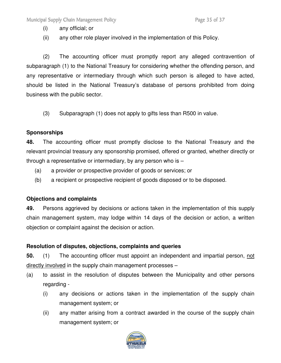(i) any official; or

(ii) any other role player involved in the implementation of this Policy.

(2) The accounting officer must promptly report any alleged contravention of subparagraph (1) to the National Treasury for considering whether the offending person, and any representative or intermediary through which such person is alleged to have acted, should be listed in the National Treasury's database of persons prohibited from doing business with the public sector.

(3) Subparagraph (1) does not apply to gifts less than R500 in value.

## **Sponsorships**

**48.** The accounting officer must promptly disclose to the National Treasury and the relevant provincial treasury any sponsorship promised, offered or granted, whether directly or through a representative or intermediary, by any person who is –

- (a) a provider or prospective provider of goods or services; or
- (b) a recipient or prospective recipient of goods disposed or to be disposed.

# **Objections and complaints**

**49.** Persons aggrieved by decisions or actions taken in the implementation of this supply chain management system, may lodge within 14 days of the decision or action, a written objection or complaint against the decision or action.

# **Resolution of disputes, objections, complaints and queries**

**50.** (1) The accounting officer must appoint an independent and impartial person, not directly involved in the supply chain management processes –

- (a) to assist in the resolution of disputes between the Municipality and other persons regarding -
	- (i) any decisions or actions taken in the implementation of the supply chain management system; or
	- (ii) any matter arising from a contract awarded in the course of the supply chain management system; or